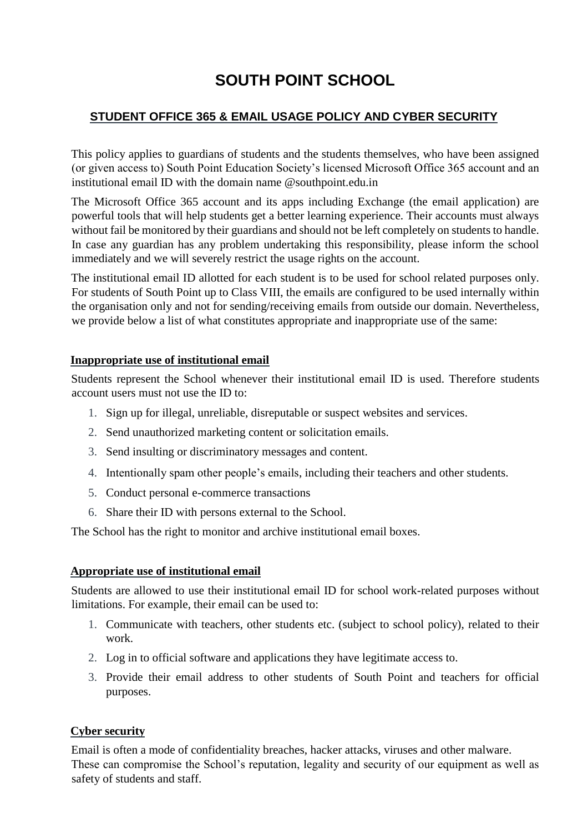# **SOUTH POINT SCHOOL**

## **STUDENT OFFICE 365 & EMAIL USAGE POLICY AND CYBER SECURITY**

This policy applies to guardians of students and the students themselves, who have been assigned (or given access to) South Point Education Society's licensed Microsoft Office 365 account and an institutional email ID with the domain name @southpoint.edu.in

The Microsoft Office 365 account and its apps including Exchange (the email application) are powerful tools that will help students get a better learning experience. Their accounts must always without fail be monitored by their guardians and should not be left completely on students to handle. In case any guardian has any problem undertaking this responsibility, please inform the school immediately and we will severely restrict the usage rights on the account.

The institutional email ID allotted for each student is to be used for school related purposes only. For students of South Point up to Class VIII, the emails are configured to be used internally within the organisation only and not for sending/receiving emails from outside our domain. Nevertheless, we provide below a list of what constitutes appropriate and inappropriate use of the same:

### **Inappropriate use of institutional email**

Students represent the School whenever their institutional email ID is used. Therefore students account users must not use the ID to:

- 1. Sign up for illegal, unreliable, disreputable or suspect websites and services.
- 2. Send unauthorized marketing content or solicitation emails.
- 3. Send insulting or discriminatory messages and content.
- 4. Intentionally spam other people's emails, including their teachers and other students.
- 5. Conduct personal e-commerce transactions
- 6. Share their ID with persons external to the School.

The School has the right to monitor and archive institutional email boxes.

### **Appropriate use of institutional email**

Students are allowed to use their institutional email ID for school work-related purposes without limitations. For example, their email can be used to:

- 1. Communicate with teachers, other students etc. (subject to school policy), related to their work.
- 2. Log in to official software and applications they have legitimate access to.
- 3. Provide their email address to other students of South Point and teachers for official purposes.

### **Cyber security**

Email is often a mode of confidentiality breaches, hacker attacks, viruses and other malware. These can compromise the School's reputation, legality and security of our equipment as well as safety of students and staff.